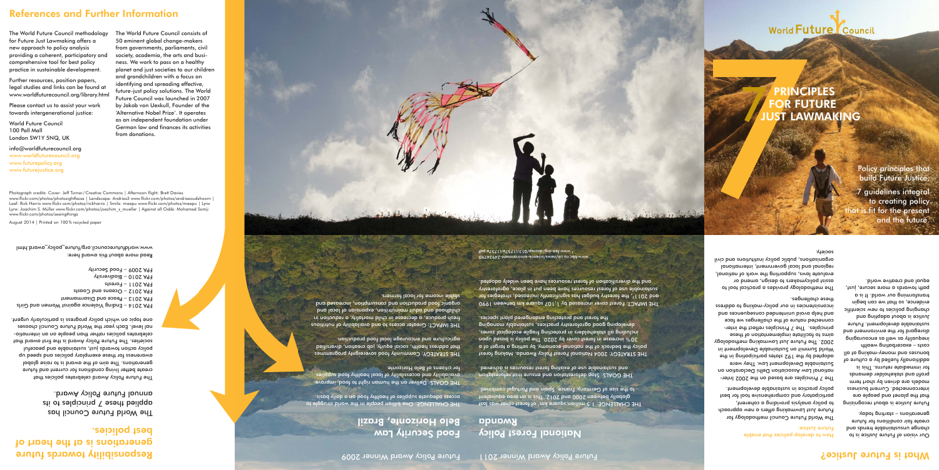The World Future Council consists of 50 eminent global change-makers from governments, parliaments, civil society, academia, the arts and business. We work to pass on a healthy planet and just societies to our children and grandchildren with a focus on identifying and spreading effective, future-just policy solutions. The World Future Council was launched in 2007 by Jakob von Uexkull, Founder of the 'Alternative Nobel Prize'. It operates as an independent foundation under German law and finances its activities from donations.

## References and Further Information

The World Future Council methodology for Future Just Lawmaking offers a new approach to policy analysis providing a coherent, participatory and comprehensive tool for best policy practice in sustainable development.

Further resources, position papers, legal studies and links can be found at www.worldfuturecouncil.org/library.html

Please contact us to assist your work towards intergenerational justice:

World Future Council 100 Pall Mall London SW1Y 5NQ, UK

info@worldfuturecouncil.org www.worldfuturecouncil.org www.futurepolicy.org

www.futurejustice.org

Photograph credits: Cover: Jeff Turner /Creative Commons | Afternoon flight: Brett Davies

THE CHALLENGE: One billion people in the world struggle to access adequate supplies of healthy food on a daily basis.

www.flickr.com/photos/photosightfaces | Landscape: Andries3 www.flickr.com/photos/andriesoudshoorn | Leaf: Rick Harris www.flickr.com/photos/rickharris | Smile: maapu www.flickr.com/photos/maapu | Lynx Lynx: Joachim S. Müller www.flickr.com/photos/joachim\_s\_mueller | Against all Odds: Mohamed Somji

www.flickr.com/photos/seeingthings

August 2014 | Printed on 100% recycled paper

Responsibility towards future

generations is at the heart of

best policies.

The World Future Council has applied these 7 principles to its annual Future Policy Award. THE CHALLENGE: 1.5 million square km<sup>1</sup> of forest cover was lost globally between 2000 and 2012. This is an area equivalent to the size of Germany, France, Spain and Portugal combined.

THE IMPACT: Forest cover increased by 1,107 square km between 1990 and 20112, the forestry budget has significantly increased, strategies for sustainable use of forest resources have been put in place, agroforestry and the diversification of forest resources have been widely adopted.

10974894S-tnemno1ivne-epneips\zwen\xlu.op.pdd.www<br>hq.eTdT1i\eTdT1i\8T0\qenpob\gno.opt.www

The Future Policy Award celebrates policies that create better living conditions for current and future generations. The aim of the award is to raise global awareness for these exemplary policies and speed up policy action towards just, sustainable and peaceful societies. The Future Policy Award is the first award that celebrates policies rather than people on an international level. Each year the World Future Council chooses one topic on which policy progress is particularly urgent.

FPA 2014 – Ending Violence against Women and Girls

www.worldtuturecouncil.org/tuture\_policy\_award.html

FPA 2013 – Peace and Disarmament FPA 2012 – Oceans and Coasts

The 7 Principles are based on the 2002 International Law Association Delhi Declaration on Sustainable Development Law. They were adopted by the 192 states participating in the World Summit on Sustainable Development in 2002. The Future Just Lawmaking methodology are to filtion and the capital setter and the setter and the setter and the setter and the setter and the setter principles. The 7 Principles reflect the interconnected nature of the challenges we face and pelo avoid papaleurine prove day the sense published as inconsistencies in our policy-making to address  $\cdot$ rese c $\upmu$ alle $\upmu$ as.

FPA 2011 – Forests FPA 2010 – Biodiversity FPA 2009 – Food Security



Read more about this award here:

## Food Security Law Belo Horizonte, Brazil

THE GOALS: Deliver on the human right to food, improve availability and accessibility of local healthy food supplies for citizens of Belo Horizonte.

THE STRATEGY: Community food sovereignty programmes that address health, social equity, job creation, diversified agriculture and encourage local food production.

that the planet and people are interconnected. Current business models are driven by short term profit and stakeholder demands for immediate returns. This is additionally fuelled by a culture of bonuses and money-making at all costs – exacerbating wealth inequality as well as encouraging disregard for the environment and sustainable development. Future Justice is about adapting and changing policies to new scientific evidence, so that we can begin transforming our world. It is a path towards a more secure, just, equal and creative world.

THE IMPACT: Greater access to and availability of nutritious fresh produce, a decrease in child mortality, a reduction in childhood and and and and an aim and an and an appearance and and proper organic food production and consumption, increased and stable income for local farmers.

# National Forest Policy

Rwanda

THE GOALS: Stop deforestation and ensure that reforestation and sustainable use of existing forest resources is achieved.

THE STRATEGY: 2004 National Forest Policy Rwanda. Making forest policy the bedrock of the national economy, by setting a target of a % increase in forest cover by 2020. The policy is based upon 30 including all stakeholders in protecting fragile ecological zones, developing good agroforestry practices, sustainably managing the forest and protecting endangered plant species.

Future Policy Award Winner 2011

#### Future Policy Award Winner 2009

#### How to develop policies that enable Future Justice:

The World Future Council methodology for Future Just Lawmaking offers a new approach to policy analysis providing a coherent, participatory and comprehensive tool for best policy practice in sustainable development.

The methodology provides a practical tool to assist policymakers to design, amend or evaluate laws, supporting the work of national, regional and local government, international organisations, public policy institutions and civil society.

> Our vision of Future Justice is to change unsustainable trends and create fair conditions for future generations – starting today.

Future Justice is about recognizing

## What is Future Justice?

Policy principles that build Future Justice.

## OR FUTURE **PRINCIPLES JST LAWMAKING**

World Future Council

7 guidelines integral to creating policy s fit for the present and the future.